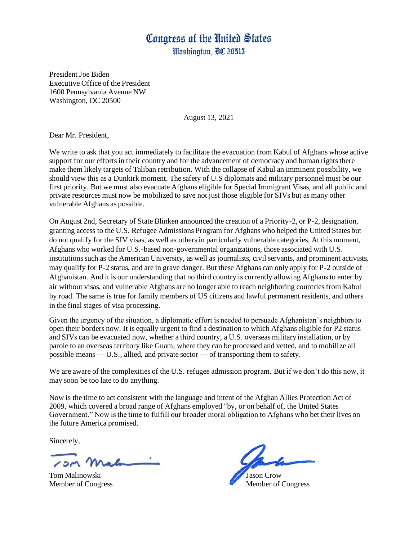President Joe Biden Executive Office of the President 1600 Pennsylvania Avenue NW Washington, DC 20500

August 13, 2021

Dear Mr. President,

We write to ask that you act immediately to facilitate the evacuation from Kabul of Afghans whose active support for our efforts in their country and for the advancement of democracy and human rights there make them likely targets of Taliban retribution. With the collapse of Kabul an imminent possibility, we should view this as a Dunkirk moment. The safety of U.S diplomats and military personnel must be our first priority. But we must also evacuate Afghans eligible for Special Immigrant Visas, and all public and private resources must now be mobilized to save not just those eligible for SIVs but as many other vulnerable Afghans as possible.

On August 2nd, Secretary of State Blinken announced the creation of a Priority-2, or P-2, designation, granting access to the U.S. Refugee Admissions Program for Afghans who helped the United States but do not qualify for the SIV visas, as well as others in particularly vulnerable categories. At this moment, Afghans who worked for U.S.-based non-governmental organizations, those associated with U.S. institutions such as the American University, as well as journalists, civil servants, and prominent activists, may qualify for P-2 status, and are in grave danger. But these Afghans can only apply for P-2 outside of Afghanistan. And it is our understanding that no third country is currently allowing Afghans to enter by air without visas, and vulnerable Afghans are no longer able to reach neighboring countries from Kabul by road. The same is true for family members of US citizens and lawful permanent residents, and others in the final stages of visa processing.

Given the urgency of the situation, a diplomatic effort is needed to persuade Afghanistan's neighbors to open their borders now. It is equally urgent to find a destination to which Afghans eligible for P2 status and SIVs can be evacuated now, whether a third country, a U.S. overseas military installation, or by parole to an overseas territory like Guam, where they can be processed and vetted, and to mobilize all possible means — U.S., allied, and private sector — of transporting them to safety.

We are aware of the complexities of the U.S. refugee admission program. But if we don't do this now, it may soon be too late to do anything.

Now is the time to act consistent with the language and intent of the Afghan Allies Protection Act of 2009, which covered a broad range of Afghans employed "by, or on behalf of, the United States Government." Now is the time to fulfill our broader moral obligation to Afghans who bet their lives on the future America promised.

Sincerely,

Tom Malinowski Jason Crow

Member of Congress Member of Congress Member of Congress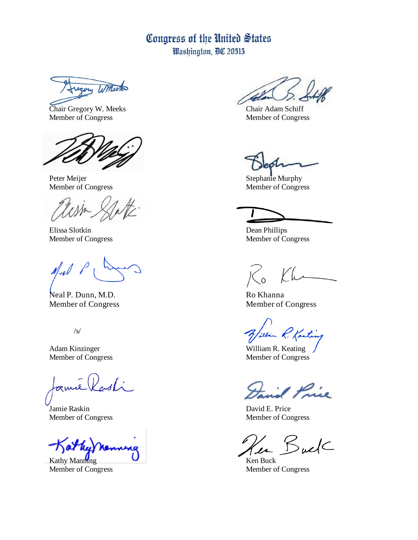ugory Winterton

Chair Gregory W. Meeks Chair Adam Schiff Member of Congress Member of Congress

Elissa Slotkin Dean Phillips

 $M_{\text{ref}}$ 

Neal P. Dunn, M.D. Ro Khanna Member of Congress Member of Congress

/s/

amé (K

Jamie Raskin David E. Price

 $Kathy$  Manning  $\qquad \qquad$   $\qquad \qquad$  Ken Buck

Peter Meijer Stephanie Murphy Member of Congress Member of Congress

Member of Congress Member of Congress

 $\begin{array}{c} \diagup \\ 0 \end{array}$ 

in R. Kenting

Adam Kinzinger William R. Keating Member of Congress Member of Congress

1 Price

Member of Congress Member of Congress

 $BulC$ 

Member of Congress Member of Congress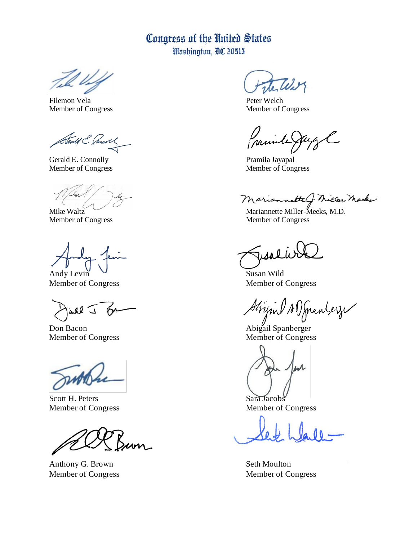Will

Filemon Vela Peter Welch Member of Congress Member of Congress

Stenlif C. Commot

Gerald E. Connolly Pramila Jayapal<br>
Member of Congress Pramila Jayapal<br>
Member of Congress

Andy Levin  $\vee$  Susan Wild

Taure J 15A

Don Bacon Abigail Spanberger Member of Congress Member of Congress

Scott H. Peters Sara Jacobs Member of Congress Member of Congress

Anthony G. Brown Seth Moulton

Crumbe

Member of Congress

Mariannette C. Miller, Macker

Mike Waltz Mariannette Miller-Meeks, M.D. Member of Congress Member of Congress

Member of Congress Member of Congress

Stripul AD Jennberge

Member of Congress Member of Congress